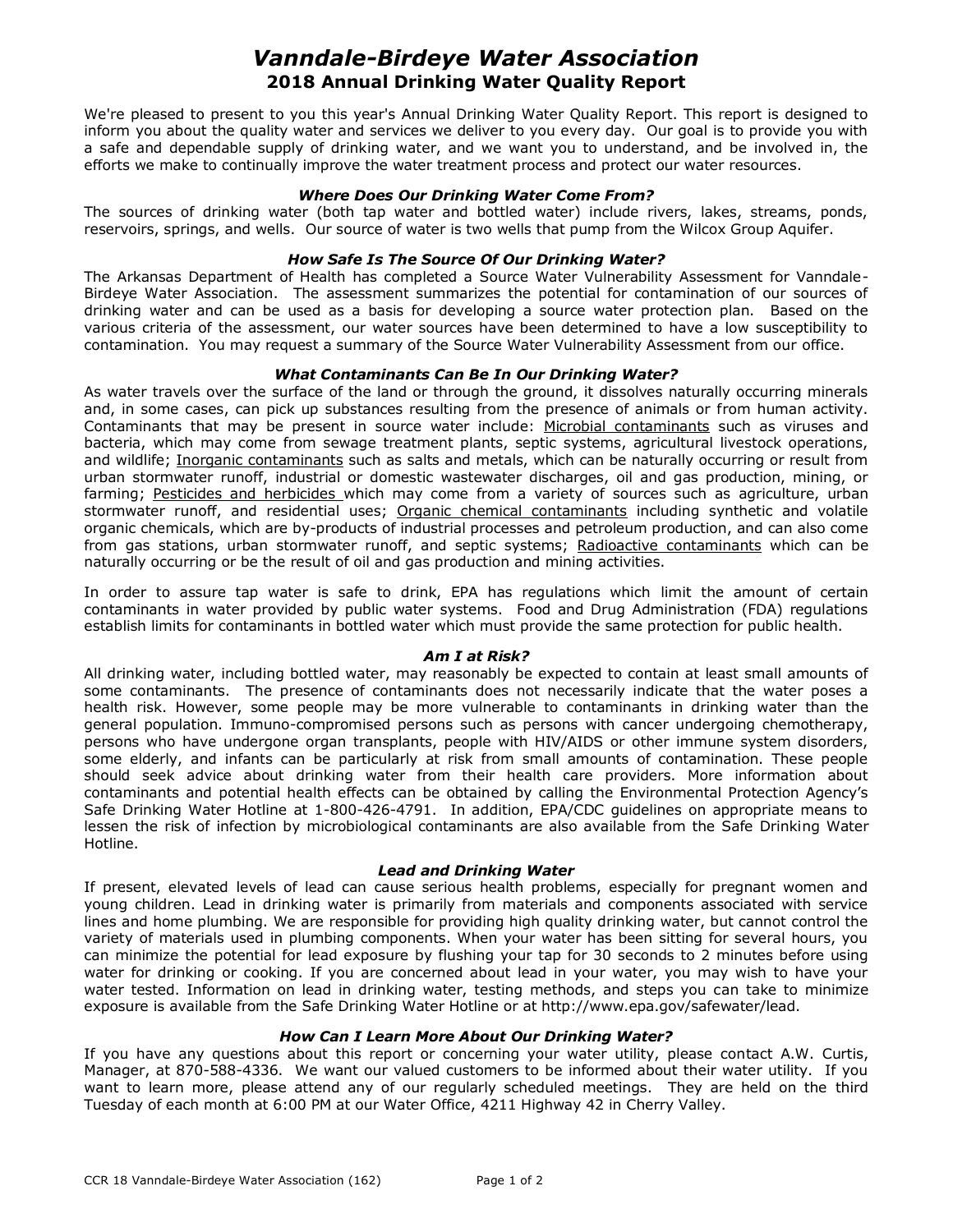# *Vanndale-Birdeye Water Association* **2018 Annual Drinking Water Quality Report**

We're pleased to present to you this year's Annual Drinking Water Quality Report. This report is designed to inform you about the quality water and services we deliver to you every day. Our goal is to provide you with a safe and dependable supply of drinking water, and we want you to understand, and be involved in, the efforts we make to continually improve the water treatment process and protect our water resources.

#### *Where Does Our Drinking Water Come From?*

The sources of drinking water (both tap water and bottled water) include rivers, lakes, streams, ponds, reservoirs, springs, and wells. Our source of water is two wells that pump from the Wilcox Group Aquifer.

## *How Safe Is The Source Of Our Drinking Water?*

The Arkansas Department of Health has completed a Source Water Vulnerability Assessment for Vanndale-Birdeye Water Association. The assessment summarizes the potential for contamination of our sources of drinking water and can be used as a basis for developing a source water protection plan. Based on the various criteria of the assessment, our water sources have been determined to have a low susceptibility to contamination. You may request a summary of the Source Water Vulnerability Assessment from our office.

#### *What Contaminants Can Be In Our Drinking Water?*

As water travels over the surface of the land or through the ground, it dissolves naturally occurring minerals and, in some cases, can pick up substances resulting from the presence of animals or from human activity. Contaminants that may be present in source water include: Microbial contaminants such as viruses and bacteria, which may come from sewage treatment plants, septic systems, agricultural livestock operations, and wildlife; Inorganic contaminants such as salts and metals, which can be naturally occurring or result from urban stormwater runoff, industrial or domestic wastewater discharges, oil and gas production, mining, or farming; Pesticides and herbicides which may come from a variety of sources such as agriculture, urban stormwater runoff, and residential uses; Organic chemical contaminants including synthetic and volatile organic chemicals, which are by-products of industrial processes and petroleum production, and can also come from gas stations, urban stormwater runoff, and septic systems; Radioactive contaminants which can be naturally occurring or be the result of oil and gas production and mining activities.

In order to assure tap water is safe to drink, EPA has regulations which limit the amount of certain contaminants in water provided by public water systems. Food and Drug Administration (FDA) regulations establish limits for contaminants in bottled water which must provide the same protection for public health.

### *Am I at Risk?*

All drinking water, including bottled water, may reasonably be expected to contain at least small amounts of some contaminants. The presence of contaminants does not necessarily indicate that the water poses a health risk. However, some people may be more vulnerable to contaminants in drinking water than the general population. Immuno-compromised persons such as persons with cancer undergoing chemotherapy, persons who have undergone organ transplants, people with HIV/AIDS or other immune system disorders, some elderly, and infants can be particularly at risk from small amounts of contamination. These people should seek advice about drinking water from their health care providers. More information about contaminants and potential health effects can be obtained by calling the Environmental Protection Agency's Safe Drinking Water Hotline at 1-800-426-4791. In addition, EPA/CDC guidelines on appropriate means to lessen the risk of infection by microbiological contaminants are also available from the Safe Drinking Water Hotline.

### *Lead and Drinking Water*

If present, elevated levels of lead can cause serious health problems, especially for pregnant women and young children. Lead in drinking water is primarily from materials and components associated with service lines and home plumbing. We are responsible for providing high quality drinking water, but cannot control the variety of materials used in plumbing components. When your water has been sitting for several hours, you can minimize the potential for lead exposure by flushing your tap for 30 seconds to 2 minutes before using water for drinking or cooking. If you are concerned about lead in your water, you may wish to have your water tested. Information on lead in drinking water, testing methods, and steps you can take to minimize exposure is available from the Safe Drinking Water Hotline or at http://www.epa.gov/safewater/lead.

## *How Can I Learn More About Our Drinking Water?*

If you have any questions about this report or concerning your water utility, please contact A.W. Curtis, Manager, at 870-588-4336. We want our valued customers to be informed about their water utility. If you want to learn more, please attend any of our regularly scheduled meetings. They are held on the third Tuesday of each month at 6:00 PM at our Water Office, 4211 Highway 42 in Cherry Valley.